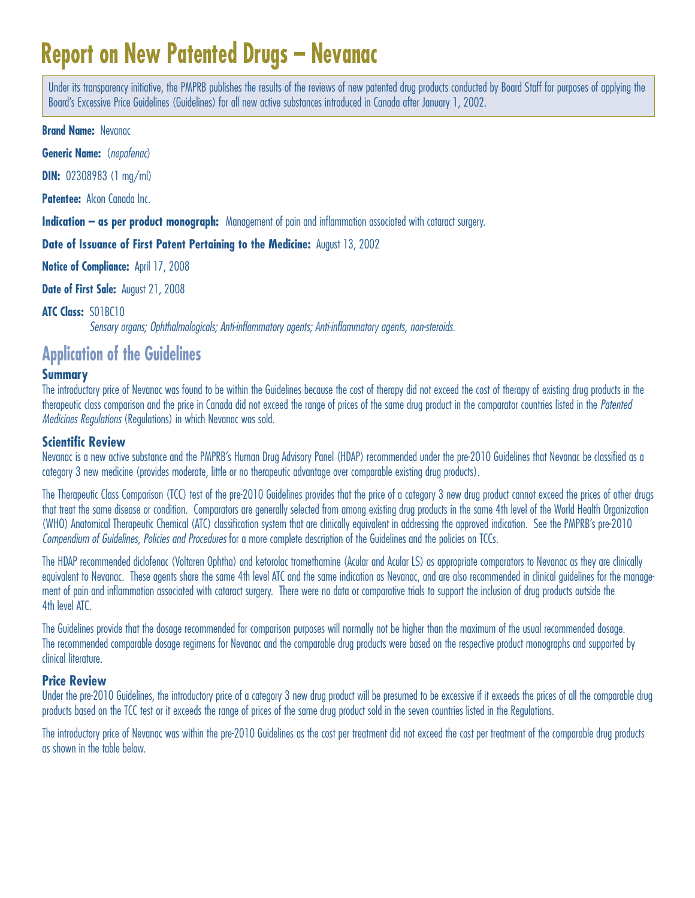# **Report on New Patented Drugs – Nevanac**

Under its transparency initiative, the PMPRB publishes the results of the reviews of new patented drug products conducted by Board Staff for purposes of applying the Board's Excessive Price Guidelines (Guidelines) for all new active substances introduced in Canada after January 1, 2002.

**Brand Name:** Nevanac

**Generic Name:** (nepafenac)

**DIN:** 02308983 (1 mg/ml)

**Patentee:** Alcon Canada Inc.

**Indication – as per product monograph:** Management of pain and inflammation associated with cataract surgery.

**Date of Issuance of First Patent Pertaining to the Medicine:** August 13, 2002

**Notice of Compliance:** April 17, 2008

**Date of First Sale:** August 21, 2008

#### **ATC Class:** S01BC10

Sensory organs; Ophthalmologicals; Anti-inflammatory agents; Anti-inflammatory agents, non-steroids.

## **Application of the Guidelines**

#### **Summary**

The introductory price of Nevanac was found to be within the Guidelines because the cost of therapy did not exceed the cost of therapy of existing drug products in the therapeutic class comparison and the price in Canada did not exceed the range of prices of the same drug product in the comparator countries listed in the Patented Medicines Regulations (Regulations) in which Nevanac was sold.

#### **Scientific Review**

Nevanac is a new active substance and the PMPRB's Human Drug Advisory Panel (HDAP) recommended under the pre-2010 Guidelines that Nevanac be classified as a category 3 new medicine (provides moderate, little or no therapeutic advantage over comparable existing drug products).

The Therapeutic Class Comparison (TCC) test of the pre-2010 Guidelines provides that the price of a category 3 new drug product cannot exceed the prices of other drugs that treat the same disease or condition. Comparators are generally selected from among existing drug products in the same 4th level of the World Health Organization (WHO) Anatomical Therapeutic Chemical (ATC) classification system that are clinically equivalent in addressing the approved indication. See the PMPRB's pre-2010 Compendium of Guidelines, Policies and Procedures for a more complete description of the Guidelines and the policies on TCCs.

The HDAP recommended diclofenac (Voltaren Ophtha) and ketorolac tromethamine (Acular and Acular LS) as appropriate comparators to Nevanac as they are clinically equivalent to Nevanac. These agents share the same 4th level ATC and the same indication as Nevanac, and are also recommended in clinical guidelines for the management of pain and inflammation associated with cataract surgery. There were no data or comparative trials to support the inclusion of drug products outside the 4th level ATC.

The Guidelines provide that the dosage recommended for comparison purposes will normally not be higher than the maximum of the usual recommended dosage. The recommended comparable dosage regimens for Nevanac and the comparable drug products were based on the respective product monographs and supported by clinical literature.

#### **Price Review**

Under the pre-2010 Guidelines, the introductory price of a category 3 new drug product will be presumed to be excessive if it exceeds the prices of all the comparable drug products based on the TCC test or it exceeds the range of prices of the same drug product sold in the seven countries listed in the Regulations.

The introductory price of Nevanac was within the pre-2010 Guidelines as the cost per treatment did not exceed the cost per treatment of the comparable drug products as shown in the table below.